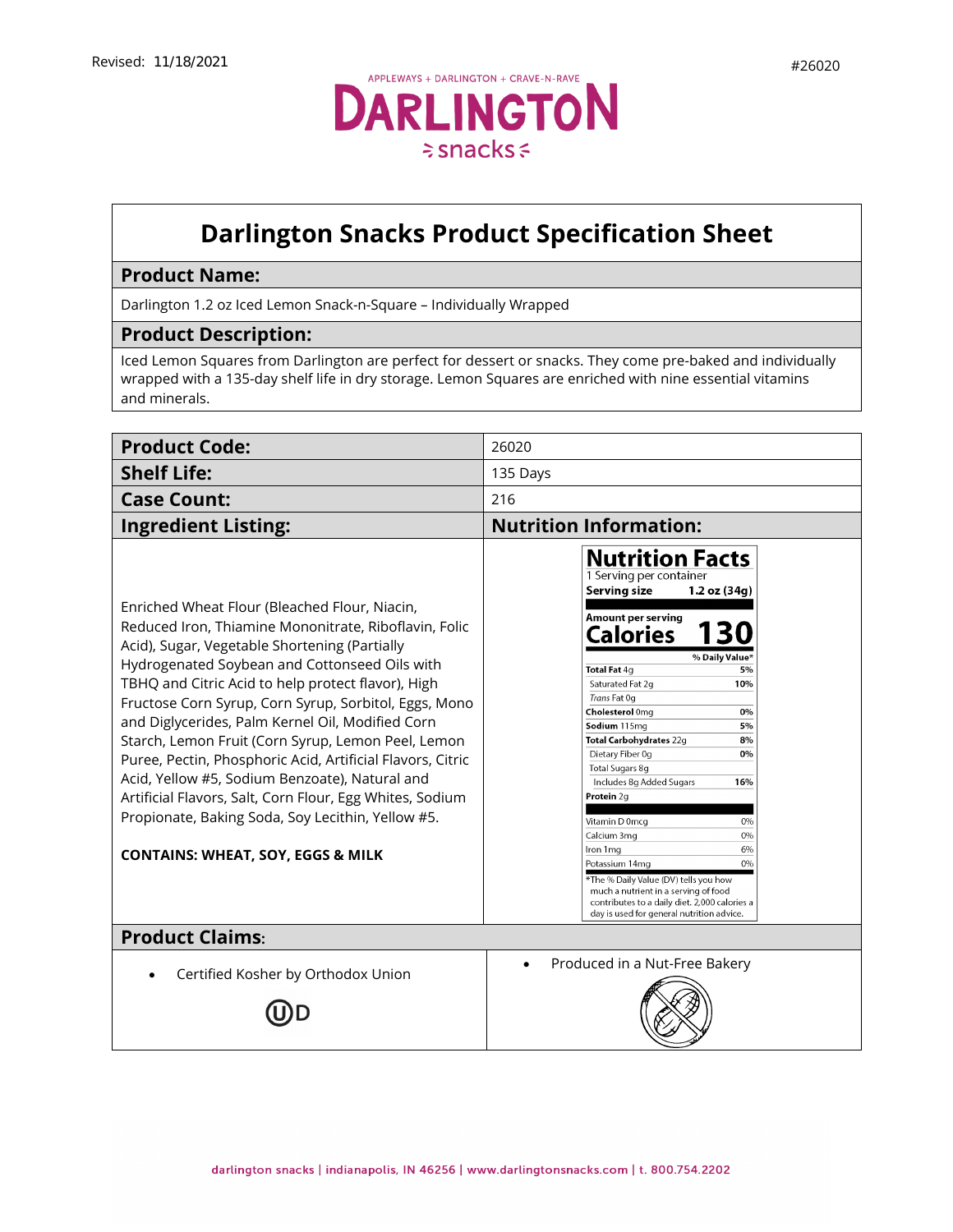

## **Darlington Snacks Product Specification Sheet**

## **Product Name:**

Darlington 1.2 oz Iced Lemon Snack-n-Square – Individually Wrapped

## **Product Description:**

Iced Lemon Squares from Darlington are perfect for dessert or snacks. They come pre-baked and individually wrapped with a 135-day shelf life in dry storage. Lemon Squares are enriched with nine essential vitamins and minerals.

| <b>Product Code:</b>                                                                                                                                                                                                                                                                                                                                                                                                                                                                                                                                                                                                                                                                                               | 26020                                                                                                                                                                                                                                                                                                                                                                                                                                                                                                                                                                                                                                                       |  |
|--------------------------------------------------------------------------------------------------------------------------------------------------------------------------------------------------------------------------------------------------------------------------------------------------------------------------------------------------------------------------------------------------------------------------------------------------------------------------------------------------------------------------------------------------------------------------------------------------------------------------------------------------------------------------------------------------------------------|-------------------------------------------------------------------------------------------------------------------------------------------------------------------------------------------------------------------------------------------------------------------------------------------------------------------------------------------------------------------------------------------------------------------------------------------------------------------------------------------------------------------------------------------------------------------------------------------------------------------------------------------------------------|--|
| <b>Shelf Life:</b>                                                                                                                                                                                                                                                                                                                                                                                                                                                                                                                                                                                                                                                                                                 | 135 Days                                                                                                                                                                                                                                                                                                                                                                                                                                                                                                                                                                                                                                                    |  |
| <b>Case Count:</b>                                                                                                                                                                                                                                                                                                                                                                                                                                                                                                                                                                                                                                                                                                 | 216                                                                                                                                                                                                                                                                                                                                                                                                                                                                                                                                                                                                                                                         |  |
| <b>Ingredient Listing:</b>                                                                                                                                                                                                                                                                                                                                                                                                                                                                                                                                                                                                                                                                                         | <b>Nutrition Information:</b>                                                                                                                                                                                                                                                                                                                                                                                                                                                                                                                                                                                                                               |  |
| Enriched Wheat Flour (Bleached Flour, Niacin,<br>Reduced Iron, Thiamine Mononitrate, Riboflavin, Folic<br>Acid), Sugar, Vegetable Shortening (Partially<br>Hydrogenated Soybean and Cottonseed Oils with<br>TBHQ and Citric Acid to help protect flavor), High<br>Fructose Corn Syrup, Corn Syrup, Sorbitol, Eggs, Mono<br>and Diglycerides, Palm Kernel Oil, Modified Corn<br>Starch, Lemon Fruit (Corn Syrup, Lemon Peel, Lemon<br>Puree, Pectin, Phosphoric Acid, Artificial Flavors, Citric<br>Acid, Yellow #5, Sodium Benzoate), Natural and<br>Artificial Flavors, Salt, Corn Flour, Egg Whites, Sodium<br>Propionate, Baking Soda, Soy Lecithin, Yellow #5.<br><b>CONTAINS: WHEAT, SOY, EGGS &amp; MILK</b> | <b>Nutrition Facts</b><br>1 Serving per container<br>Serving size<br>1.2 oz (34g)<br>Amount per serving<br>Calories<br>% Daily Value*<br>Total Fat 4g<br>5%<br>Saturated Fat 2q<br>10%<br>Trans Fat 0g<br>Cholesterol 0mg<br>0%<br>Sodium 115mg<br>5%<br>8%<br>Total Carbohydrates 22g<br>Dietary Fiber 0g<br>0%<br>Total Sugars 8g<br>Includes 8g Added Sugars<br>16%<br>Protein 2q<br>Vitamin D 0mcq<br>0%<br>0%<br>Calcium 3mg<br>6%<br>Iron 1 mg<br>0%<br>Potassium 14mg<br>*The % Daily Value (DV) tells you how<br>much a nutrient in a serving of food<br>contributes to a daily diet. 2,000 calories a<br>day is used for general nutrition advice. |  |
| <b>Product Claims:</b>                                                                                                                                                                                                                                                                                                                                                                                                                                                                                                                                                                                                                                                                                             |                                                                                                                                                                                                                                                                                                                                                                                                                                                                                                                                                                                                                                                             |  |
| Certified Kosher by Orthodox Union                                                                                                                                                                                                                                                                                                                                                                                                                                                                                                                                                                                                                                                                                 | Produced in a Nut-Free Bakery                                                                                                                                                                                                                                                                                                                                                                                                                                                                                                                                                                                                                               |  |